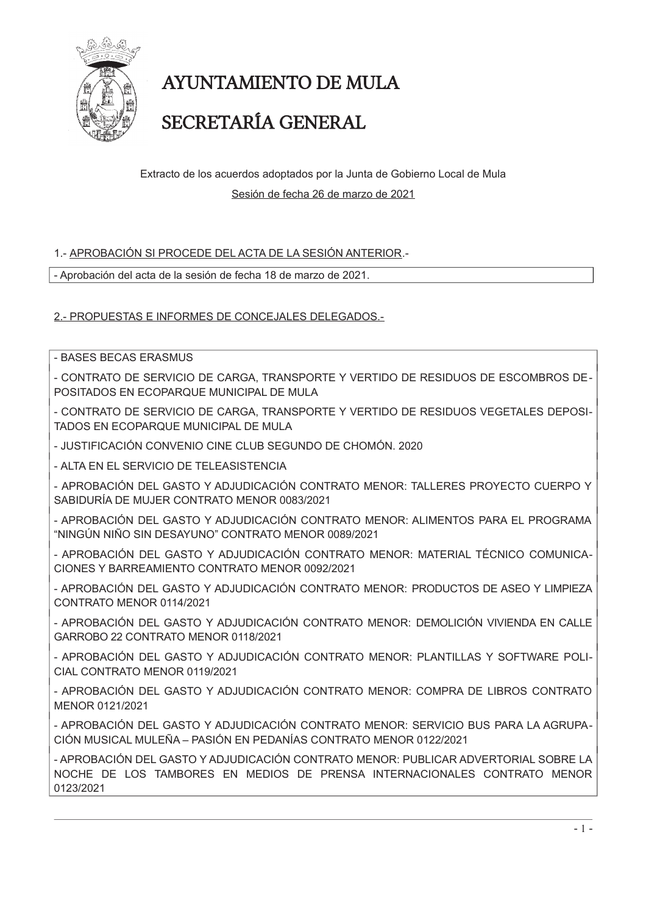

# AYUNTAMIENTO DE MULA

## SECRETARÍA GENERAL

Extracto de los acuerdos adoptados por la Junta de Gobierno Local de Mula Sesión de fecha 26 de marzo de 2021

### 1.- APROBACIÓN SI PROCEDE DEL ACTA DE LA SESIÓN ANTERIOR.-

- Aprobación del acta de la sesión de fecha 18 de marzo de 2021.

2.- PROPUESTAS E INFORMES DE CONCEJALES DELEGADOS.-

- BASES BECAS ERASMUS

- CONTRATO DE SERVICIO DE CARGA, TRANSPORTE Y VERTIDO DE RESIDUOS DE ESCOMBROS DE-POSITADOS EN ECOPARQUE MUNICIPAL DE MULA

- CONTRATO DE SERVICIO DE CARGA, TRANSPORTE Y VERTIDO DE RESIDUOS VEGETALES DEPOSI-TADOS EN ECOPARQUE MUNICIPAL DE MULA

- JUSTIFICACIÓN CONVENIO CINE CLUB SEGUNDO DE CHOMÓN, 2020

- ALTA EN EL SERVICIO DE TELEASISTENCIA

- APROBACIÓN DEL GASTO Y ADJUDICACIÓN CONTRATO MENOR: TALLERES PROYECTO CUERPO Y SABIDURÍA DE MUJER CONTRATO MENOR 0083/2021

- APROBACIÓN DEL GASTO Y ADJUDICACIÓN CONTRATO MENOR: ALIMENTOS PARA EL PROGRAMA "NINGÚN NIÑO SIN DESAYUNO" CONTRATO MENOR 0089/2021

- APROBACIÓN DEL GASTO Y ADJUDICACIÓN CONTRATO MENOR: MATERIAL TÉCNICO COMUNICA-CIONES Y BARREAMIENTO CONTRATO MENOR 0092/2021

- APROBACIÓN DEL GASTO Y ADJUDICACIÓN CONTRATO MENOR: PRODUCTOS DE ASEO Y LIMPIEZA CONTRATO MENOR 0114/2021

- APROBACIÓN DEL GASTO Y ADJUDICACIÓN CONTRATO MENOR: DEMOLICIÓN VIVIENDA EN CALLE GARROBO 22 CONTRATO MENOR 0118/2021

- APROBACIÓN DEL GASTO Y ADJUDICACIÓN CONTRATO MENOR: PLANTILLAS Y SOFTWARE POLI-CIAL CONTRATO MENOR 0119/2021

- APROBACIÓN DEL GASTO Y ADJUDICACIÓN CONTRATO MENOR: COMPRA DE LIBROS CONTRATO MENOR 0121/2021

- APROBACIÓN DEL GASTO Y ADJUDICACIÓN CONTRATO MENOR: SERVICIO BUS PARA LA AGRUPA-CIÓN MUSICAL MULEÑA - PASIÓN EN PEDANÍAS CONTRATO MENOR 0122/2021

- APROBACIÓN DEL GASTO Y ADJUDICACIÓN CONTRATO MENOR: PUBLICAR ADVERTORIAL SOBRE LA NOCHE DE LOS TAMBORES EN MEDIOS DE PRENSA INTERNACIONALES CONTRATO MENOR 0123/2021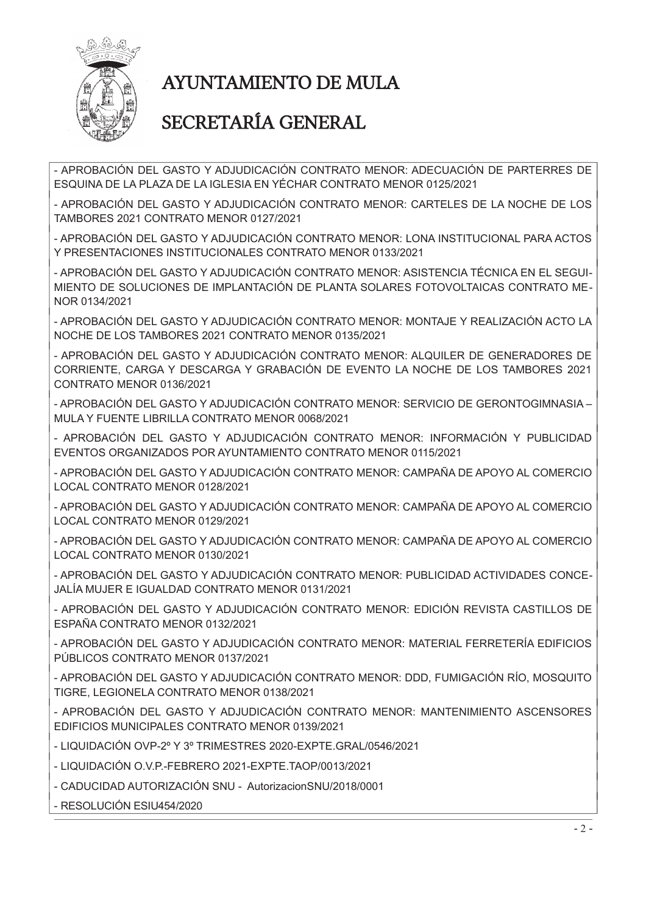

# **AYUNTAMIENTO DE MULA**

### SECRETARÍA GENERAL

- APROBACIÓN DEL GASTO Y ADJUDICACIÓN CONTRATO MENOR: ADECUACIÓN DE PARTERRES DE ESQUINA DE LA PLAZA DE LA IGLESIA EN YÉCHAR CONTRATO MENOR 0125/2021

- APROBACIÓN DEL GASTO Y ADJUDICACIÓN CONTRATO MENOR: CARTELES DE LA NOCHE DE LOS TAMBORES 2021 CONTRATO MENOR 0127/2021

- APROBACIÓN DEL GASTO Y ADJUDICACIÓN CONTRATO MENOR: LONA INSTITUCIONAL PARA ACTOS Y PRESENTACIONES INSTITUCIONALES CONTRATO MENOR 0133/2021

- APROBACIÓN DEL GASTO Y ADJUDICACIÓN CONTRATO MENOR: ASISTENCIA TÉCNICA EN EL SEGUI-MIENTO DE SOLUCIONES DE IMPLANTACIÓN DE PLANTA SOLARES FOTOVOLTAICAS CONTRATO ME-NOR 0134/2021

- APROBACIÓN DEL GASTO Y ADJUDICACIÓN CONTRATO MENOR: MONTAJE Y REALIZACIÓN ACTO LA NOCHE DE LOS TAMBORES 2021 CONTRATO MENOR 0135/2021

- APROBACIÓN DEL GASTO Y ADJUDICACIÓN CONTRATO MENOR: ALQUILER DE GENERADORES DE CORRIENTE, CARGA Y DESCARGA Y GRABACIÓN DE EVENTO LA NOCHE DE LOS TAMBORES 2021 CONTRATO MENOR 0136/2021

- APROBACIÓN DEL GASTO Y ADJUDICACIÓN CONTRATO MENOR: SERVICIO DE GERONTOGIMNASIA -MULA Y FUENTE LIBRILLA CONTRATO MENOR 0068/2021

- APROBACIÓN DEL GASTO Y ADJUDICACIÓN CONTRATO MENOR: INFORMACIÓN Y PUBLICIDAD EVENTOS ORGANIZADOS POR AYUNTAMIENTO CONTRATO MENOR 0115/2021

- APROBACIÓN DEL GASTO Y ADJUDICACIÓN CONTRATO MENOR: CAMPAÑA DE APOYO AL COMERCIO LOCAL CONTRATO MENOR 0128/2021

- APROBACIÓN DEL GASTO Y ADJUDICACIÓN CONTRATO MENOR: CAMPAÑA DE APOYO AL COMERCIO LOCAL CONTRATO MENOR 0129/2021

- APROBACIÓN DEL GASTO Y ADJUDICACIÓN CONTRATO MENOR: CAMPAÑA DE APOYO AL COMERCIO LOCAL CONTRATO MENOR 0130/2021

- APROBACIÓN DEL GASTO Y ADJUDICACIÓN CONTRATO MENOR: PUBLICIDAD ACTIVIDADES CONCE-JALÍA MUJER E IGUALDAD CONTRATO MENOR 0131/2021

- APROBACIÓN DEL GASTO Y ADJUDICACIÓN CONTRATO MENOR: EDICIÓN REVISTA CASTILLOS DE ESPAÑA CONTRATO MENOR 0132/2021

- APROBACIÓN DEL GASTO Y ADJUDICACIÓN CONTRATO MENOR: MATERIAL FERRETERÍA EDIFICIOS PÚBLICOS CONTRATO MENOR 0137/2021

- APROBACIÓN DEL GASTO Y ADJUDICACIÓN CONTRATO MENOR: DDD, FUMIGACIÓN RÍO, MOSQUITO TIGRE, LEGIONELA CONTRATO MENOR 0138/2021

- APROBACIÓN DEL GASTO Y ADJUDICACIÓN CONTRATO MENOR: MANTENIMIENTO ASCENSORES EDIFICIOS MUNICIPALES CONTRATO MENOR 0139/2021

- LIQUIDACIÓN OVP-2° Y 3° TRIMESTRES 2020-EXPTE.GRAL/0546/2021

- LIQUIDACIÓN O.V.P.-FEBRERO 2021-EXPTE TAOP/0013/2021

- CADUCIDAD AUTORIZACIÓN SNU - AutorizacionSNU/2018/0001

- RESOLUCIÓN ESIU454/2020